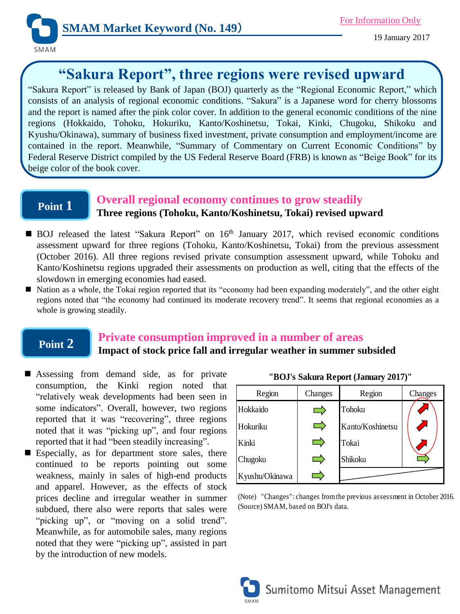

# **"Sakura Report", three regions were revised upward**

"Sakura Report" is released by Bank of Japan (BOJ) quarterly as the "Regional Economic Report," which consists of an analysis of regional economic conditions. "Sakura" is a Japanese word for cherry blossoms and the report is named after the pink color cover. In addition to the general economic conditions of the nine regions (Hokkaido, Tohoku, Hokuriku, Kanto/Koshinetsu, Tokai, Kinki, Chugoku, Shikoku and Kyushu/Okinawa), summary of business fixed investment, private consumption and employment/income are contained in the report. Meanwhile, "Summary of Commentary on Current Economic Conditions" by Federal Reserve District compiled by the US Federal Reserve Board (FRB) is known as "Beige Book" for its beige color of the book cover.

### **Point 1**

#### **Overall regional economy continues to grow steadily Three regions (Tohoku, Kanto/Koshinetsu, Tokai) revised upward**

- BOJ released the latest "Sakura Report" on 16<sup>th</sup> January 2017, which revised economic conditions assessment upward for three regions (Tohoku, Kanto/Koshinetsu, Tokai) from the previous assessment (October 2016). All three regions revised private consumption assessment upward, while Tohoku and Kanto/Koshinetsu regions upgraded their assessments on production as well, citing that the effects of the slowdown in emerging economies had eased.
- Nation as a whole, the Tokai region reported that its "economy had been expanding moderately", and the other eight regions noted that "the economy had continued its moderate recovery trend". It seems that regional economies as a whole is growing steadily.

## **Point 2**

#### **Private consumption improved in a number of areas Impact of stock price fall and irregular weather in summer subsided**

- Assessing from demand side, as for private consumption, the Kinki region noted that "relatively weak developments had been seen in some indicators". Overall, however, two regions reported that it was "recovering", three regions noted that it was "picking up", and four regions reported that it had "been steadily increasing".
- Especially, as for department store sales, there continued to be reports pointing out some weakness, mainly in sales of high-end products and apparel. However, as the effects of stock prices decline and irregular weather in summer subdued, there also were reports that sales were "picking up", or "moving on a solid trend". Meanwhile, as for automobile sales, many regions noted that they were "picking up", assisted in part by the introduction of new models.

| Region         | Changes | Region           | Changes |
|----------------|---------|------------------|---------|
| Hokkaido       |         | Tohoku           |         |
| Hokuriku       |         | Kanto/Koshinetsu |         |
| Kinki          |         | Tokai            |         |
| Chugoku        |         | Shikoku          |         |
| Kyushu/Okinawa |         |                  |         |

(Note) "Changes": changes from the previous assessment in October 2016. (Source) SMAM, based on BOJ's data.



**"BOJ's Sakura Report (January 2017)"**